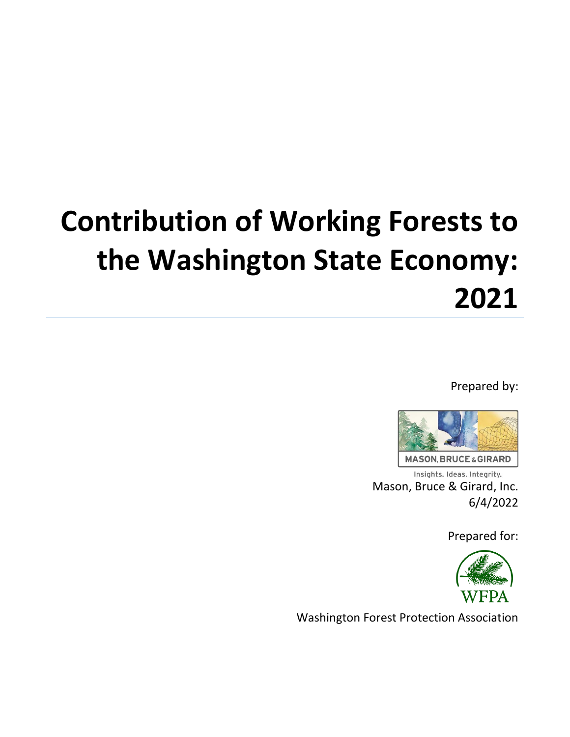# **Contribution of Working Forests to the Washington State Economy: 2021**

Prepared by:



Insights. Ideas. Integrity. Mason, Bruce & Girard, Inc. 6/4/2022

Prepared for:



Washington Forest Protection Association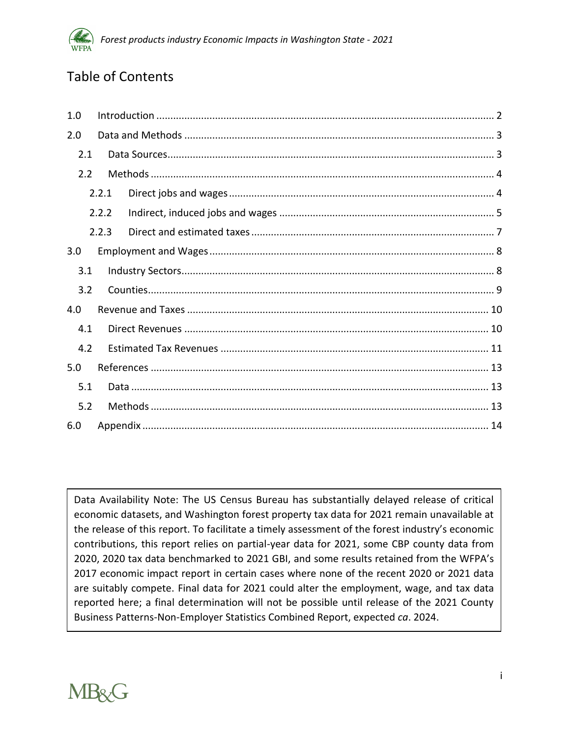

# Table of Contents

| 1.0 |       |  |  |  |  |  |  |  |
|-----|-------|--|--|--|--|--|--|--|
| 2.0 |       |  |  |  |  |  |  |  |
| 2.1 |       |  |  |  |  |  |  |  |
| 2.2 |       |  |  |  |  |  |  |  |
|     | 2.2.1 |  |  |  |  |  |  |  |
|     | 2.2.2 |  |  |  |  |  |  |  |
|     | 2.2.3 |  |  |  |  |  |  |  |
| 3.0 |       |  |  |  |  |  |  |  |
| 3.1 |       |  |  |  |  |  |  |  |
| 3.2 |       |  |  |  |  |  |  |  |
| 4.0 |       |  |  |  |  |  |  |  |
| 4.1 |       |  |  |  |  |  |  |  |
| 4.2 |       |  |  |  |  |  |  |  |
| 5.0 |       |  |  |  |  |  |  |  |
| 5.1 |       |  |  |  |  |  |  |  |
| 5.2 |       |  |  |  |  |  |  |  |
| 6.0 |       |  |  |  |  |  |  |  |

Data Availability Note: The US Census Bureau has substantially delayed release of critical economic datasets, and Washington forest property tax data for 2021 remain unavailable at the release of this report. To facilitate a timely assessment of the forest industry's economic contributions, this report relies on partial-year data for 2021, some CBP county data from 2020, 2020 tax data benchmarked to 2021 GBI, and some results retained from the WFPA's 2017 economic impact report in certain cases where none of the recent 2020 or 2021 data are suitably compete. Final data for 2021 could alter the employment, wage, and tax data reported here; a final determination will not be possible until release of the 2021 County Business Patterns-Non-Employer Statistics Combined Report, expected *ca*. 2024.

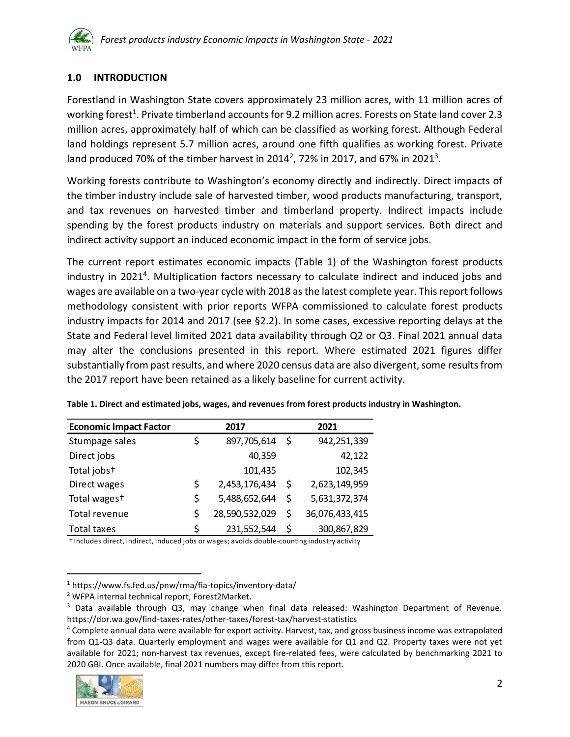

# <span id="page-2-0"></span>**1.0 INTRODUCTION**

Forestland in Washington State covers approximately 23 million acres, with 11 million acres of working forest<sup>1</sup>. Private timberland accounts for 9.2 million acres. Forests on State land cover 2.3 million acres, approximately half of which can be classified as working forest. Although Federal land holdings represent 5.7 million acres, around one fifth qualifies as working forest. Private land produced 70% of the timber harvest in 2014<sup>2</sup>, 72% in 2017, and 67% in 2021<sup>3</sup>.

Working forests contribute to Washington's economy directly and indirectly. Direct impacts of the timber industry include sale of harvested timber, wood products manufacturing, transport, and tax revenues on harvested timber and timberland property. Indirect impacts include spending by the forest products industry on materials and support services. Both direct and indirect activity support an induced economic impact in the form of service jobs.

The current report estimates economic impacts [\(Table 1\)](#page-2-1) of the Washington forest products industry in 2021<sup>4</sup>. Multiplication factors necessary to calculate indirect and induced jobs and wages are available on a two-year cycle with 2018 as the latest complete year. This report follows methodology consistent with prior reports WFPA commissioned to calculate forest products industry impacts for 2014 and 2017 (see [§2.2\)](#page-4-0). In some cases, excessive reporting delays at the State and Federal level limited 2021 data availability through Q2 or Q3. Final 2021 annual data may alter the conclusions presented in this report. Where estimated 2021 figures differ substantially from past results, and where 2020 census data are also divergent, some results from the 2017 report have been retained as a likely baseline for current activity.

| <b>Economic Impact Factor</b> | 2017                 | 2021 |                |  |  |
|-------------------------------|----------------------|------|----------------|--|--|
| Stumpage sales                | \$<br>897,705,614    | -\$  | 942,251,339    |  |  |
| Direct jobs                   | 40,359               |      | 42,122         |  |  |
| Total jobst                   | 101,435              |      | 102,345        |  |  |
| Direct wages                  | \$<br>2,453,176,434  | -\$  | 2,623,149,959  |  |  |
| Total wages <sup>+</sup>      | \$<br>5,488,652,644  | \$.  | 5,631,372,374  |  |  |
| Total revenue                 | \$<br>28,590,532,029 | Ś    | 36,076,433,415 |  |  |
| <b>Total taxes</b>            | 231,552,544          | \$.  | 300,867,829    |  |  |

<span id="page-2-1"></span>**Table 1. Direct and estimated jobs, wages, and revenues from forest products industry in Washington.**

† Includes direct, indirect, induced jobs or wages; avoids double-counting industry activity

<sup>4</sup> Complete annual data were available for export activity. Harvest, tax, and gross business income was extrapolated from Q1-Q3 data. Quarterly employment and wages were available for Q1 and Q2. Property taxes were not yet available for 2021; non-harvest tax revenues, except fire-related fees, were calculated by benchmarking 2021 to 2020 GBI. Once available, final 2021 numbers may differ from this report.



<sup>1</sup> https://www.fs.fed.us/pnw/rma/fia-topics/inventory-data/

<sup>2</sup> WFPA internal technical report, Forest2Market.

<sup>&</sup>lt;sup>3</sup> Data available through Q3, may change when final data released: Washington Department of Revenue. https://dor.wa.gov/find-taxes-rates/other-taxes/forest-tax/harvest-statistics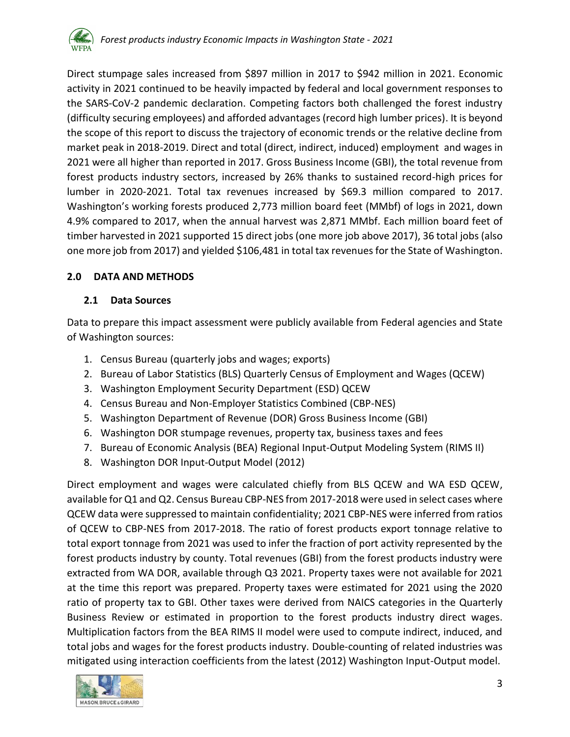Direct stumpage sales increased from \$897 million in 2017 to \$942 million in 2021. Economic activity in 2021 continued to be heavily impacted by federal and local government responses to the SARS-CoV-2 pandemic declaration. Competing factors both challenged the forest industry (difficulty securing employees) and afforded advantages (record high lumber prices). It is beyond the scope of this report to discuss the trajectory of economic trends or the relative decline from market peak in 2018-2019. Direct and total (direct, indirect, induced) employment and wages in 2021 were all higher than reported in 2017. Gross Business Income (GBI), the total revenue from forest products industry sectors, increased by 26% thanks to sustained record-high prices for lumber in 2020-2021. Total tax revenues increased by \$69.3 million compared to 2017. Washington's working forests produced 2,773 million board feet (MMbf) of logs in 2021, down 4.9% compared to 2017, when the annual harvest was 2,871 MMbf. Each million board feet of timber harvested in 2021 supported 15 direct jobs (one more job above 2017), 36 total jobs (also one more job from 2017) and yielded \$106,481 in total tax revenues for the State of Washington.

# <span id="page-3-0"></span>**2.0 DATA AND METHODS**

# <span id="page-3-1"></span>**2.1 Data Sources**

Data to prepare this impact assessment were publicly available from Federal agencies and State of Washington sources:

- 1. Census Bureau (quarterly jobs and wages; exports)
- 2. Bureau of Labor Statistics (BLS) Quarterly Census of Employment and Wages (QCEW)
- 3. Washington Employment Security Department (ESD) QCEW
- 4. Census Bureau and Non-Employer Statistics Combined (CBP-NES)
- 5. Washington Department of Revenue (DOR) Gross Business Income (GBI)
- 6. Washington DOR stumpage revenues, property tax, business taxes and fees
- 7. Bureau of Economic Analysis (BEA) Regional Input-Output Modeling System (RIMS II)
- 8. Washington DOR Input-Output Model (2012)

Direct employment and wages were calculated chiefly from BLS QCEW and WA ESD QCEW, available for Q1 and Q2. Census Bureau CBP-NES from 2017-2018 were used in select cases where QCEW data were suppressed to maintain confidentiality; 2021 CBP-NES were inferred from ratios of QCEW to CBP-NES from 2017-2018. The ratio of forest products export tonnage relative to total export tonnage from 2021 was used to infer the fraction of port activity represented by the forest products industry by county. Total revenues (GBI) from the forest products industry were extracted from WA DOR, available through Q3 2021. Property taxes were not available for 2021 at the time this report was prepared. Property taxes were estimated for 2021 using the 2020 ratio of property tax to GBI. Other taxes were derived from NAICS categories in the Quarterly Business Review or estimated in proportion to the forest products industry direct wages. Multiplication factors from the BEA RIMS II model were used to compute indirect, induced, and total jobs and wages for the forest products industry. Double-counting of related industries was mitigated using interaction coefficients from the latest (2012) Washington Input-Output model.

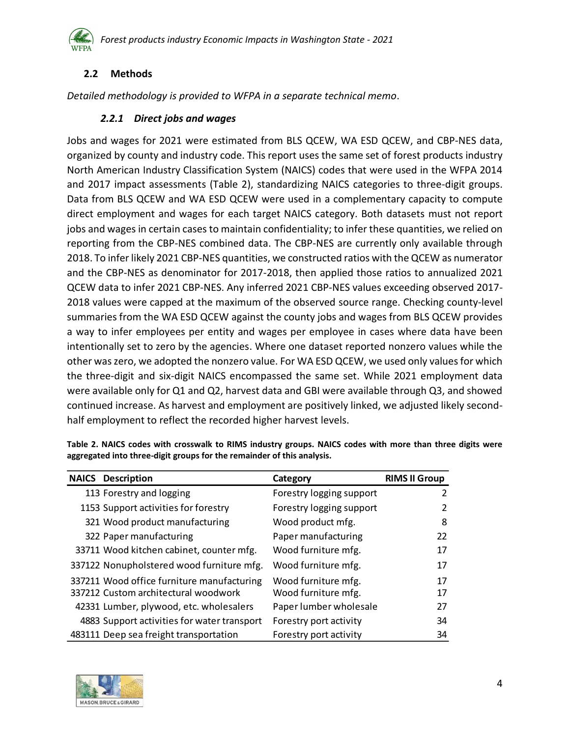

# <span id="page-4-0"></span>**2.2 Methods**

<span id="page-4-1"></span>*Detailed methodology is provided to WFPA in a separate technical memo*.

#### *2.2.1 Direct jobs and wages*

Jobs and wages for 2021 were estimated from BLS QCEW, WA ESD QCEW, and CBP-NES data, organized by county and industry code. This report uses the same set of forest products industry North American Industry Classification System (NAICS) codes that were used in the WFPA 2014 and 2017 impact assessments [\(Table 2\)](#page-4-2), standardizing NAICS categories to three-digit groups. Data from BLS QCEW and WA ESD QCEW were used in a complementary capacity to compute direct employment and wages for each target NAICS category. Both datasets must not report jobs and wages in certain cases to maintain confidentiality; to infer these quantities, we relied on reporting from the CBP-NES combined data. The CBP-NES are currently only available through 2018. To infer likely 2021 CBP-NES quantities, we constructed ratios with the QCEW as numerator and the CBP-NES as denominator for 2017-2018, then applied those ratios to annualized 2021 QCEW data to infer 2021 CBP-NES. Any inferred 2021 CBP-NES values exceeding observed 2017- 2018 values were capped at the maximum of the observed source range. Checking county-level summaries from the WA ESD QCEW against the county jobs and wages from BLS QCEW provides a way to infer employees per entity and wages per employee in cases where data have been intentionally set to zero by the agencies. Where one dataset reported nonzero values while the other was zero, we adopted the nonzero value. For WA ESD QCEW, we used only values for which the three-digit and six-digit NAICS encompassed the same set. While 2021 employment data were available only for Q1 and Q2, harvest data and GBI were available through Q3, and showed continued increase. As harvest and employment are positively linked, we adjusted likely secondhalf employment to reflect the recorded higher harvest levels.

| <b>NAICS</b> Description                    | Category                 | <b>RIMS II Group</b> |
|---------------------------------------------|--------------------------|----------------------|
| 113 Forestry and logging                    | Forestry logging support | 2                    |
| 1153 Support activities for forestry        | Forestry logging support | 2                    |
| 321 Wood product manufacturing              | Wood product mfg.        | 8                    |
| 322 Paper manufacturing                     | Paper manufacturing      | 22                   |
| 33711 Wood kitchen cabinet, counter mfg.    | Wood furniture mfg.      | 17                   |
| 337122 Nonupholstered wood furniture mfg.   | Wood furniture mfg.      | 17                   |
| 337211 Wood office furniture manufacturing  | Wood furniture mfg.      | 17                   |
| 337212 Custom architectural woodwork        | Wood furniture mfg.      | 17                   |
| 42331 Lumber, plywood, etc. wholesalers     | Paper lumber wholesale   | 27                   |
| 4883 Support activities for water transport | Forestry port activity   | 34                   |
| 483111 Deep sea freight transportation      | Forestry port activity   | 34                   |

<span id="page-4-2"></span>**Table 2. NAICS codes with crosswalk to RIMS industry groups. NAICS codes with more than three digits were aggregated into three-digit groups for the remainder of this analysis.**

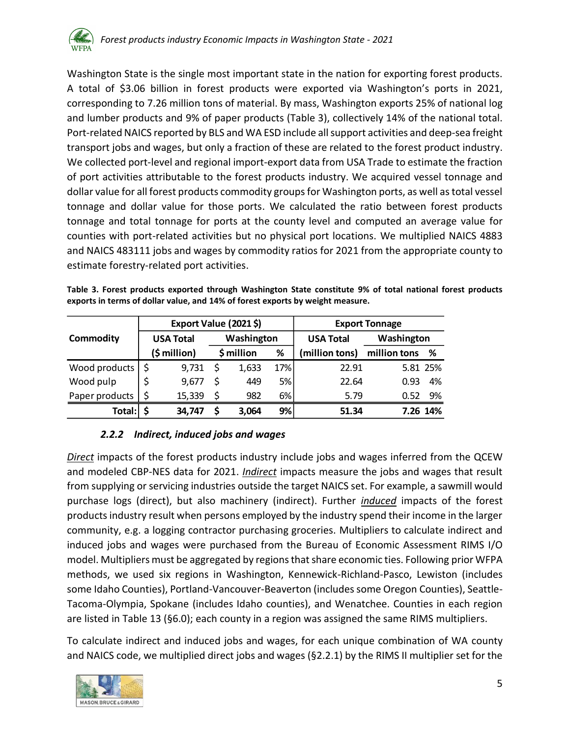

Washington State is the single most important state in the nation for exporting forest products. A total of \$3.06 billion in forest products were exported via Washington's ports in 2021, corresponding to 7.26 million tons of material. By mass, Washington exports 25% of national log and lumber products and 9% of paper products [\(Table 3\)](#page-5-1), collectively 14% of the national total. Port-related NAICS reported by BLS and WA ESD include all support activities and deep-sea freight transport jobs and wages, but only a fraction of these are related to the forest product industry. We collected port-level and regional import-export data from USA Trade to estimate the fraction of port activities attributable to the forest products industry. We acquired vessel tonnage and dollar value for all forest products commodity groups for Washington ports, as well as total vessel tonnage and dollar value for those ports. We calculated the ratio between forest products tonnage and total tonnage for ports at the county level and computed an average value for counties with port-related activities but no physical port locations. We multiplied NAICS 4883 and NAICS 483111 jobs and wages by commodity ratios for 2021 from the appropriate county to estimate forestry-related port activities.

<span id="page-5-1"></span>

| Table 3. Forest products exported through Washington State constitute 9% of total national forest products |  |  |  |  |  |
|------------------------------------------------------------------------------------------------------------|--|--|--|--|--|
| exports in terms of dollar value, and 14% of forest exports by weight measure.                             |  |  |  |  |  |

|                  |              | Export Value (2021\$) |    |            |     | <b>Export Tonnage</b> |              |            |  |  |  |
|------------------|--------------|-----------------------|----|------------|-----|-----------------------|--------------|------------|--|--|--|
| <b>Commodity</b> |              | <b>USA Total</b>      |    | Washington |     | <b>USA Total</b>      |              | Washington |  |  |  |
|                  | (\$ million) |                       |    | \$ million | %   | (million tons)        | million tons | %          |  |  |  |
| Wood products    |              | 9,731                 | \$ | 1,633      | 17% | 22.91                 |              | 5.81 25%   |  |  |  |
| Wood pulp        |              | 9,677                 | Ŝ. | 449        | 5%  | 22.64                 | 0.93         | 4%         |  |  |  |
| Paper products   | Ś            | 15,339                | Ś  | 982        | 6%  | 5.79                  | 0.52         | 9%         |  |  |  |
| Total:           |              | 34,747                | Ŝ  | 3,064      | 9%  | 51.34                 |              | 7.26 14%   |  |  |  |

# *2.2.2 Indirect, induced jobs and wages*

<span id="page-5-0"></span>*Direct* impacts of the forest products industry include jobs and wages inferred from the QCEW and modeled CBP-NES data for 2021. *Indirect* impacts measure the jobs and wages that result from supplying or servicing industries outside the target NAICS set. For example, a sawmill would purchase logs (direct), but also machinery (indirect). Further *induced* impacts of the forest products industry result when persons employed by the industry spend their income in the larger community, e.g. a logging contractor purchasing groceries. Multipliers to calculate indirect and induced jobs and wages were purchased from the Bureau of Economic Assessment RIMS I/O model. Multipliers must be aggregated by regions that share economic ties. Following prior WFPA methods, we used six regions in Washington, Kennewick-Richland-Pasco, Lewiston (includes some Idaho Counties), Portland-Vancouver-Beaverton (includes some Oregon Counties), Seattle-Tacoma-Olympia, Spokane (includes Idaho counties), and Wenatchee. Counties in each region are listed in [Table 13](#page-15-0) ([§6.0\)](#page-14-0); each county in a region was assigned the same RIMS multipliers.

To calculate indirect and induced jobs and wages, for each unique combination of WA county and NAICS code, we multiplied direct jobs and wages ([§2.2.1\)](#page-4-1) by the RIMS II multiplier set for the

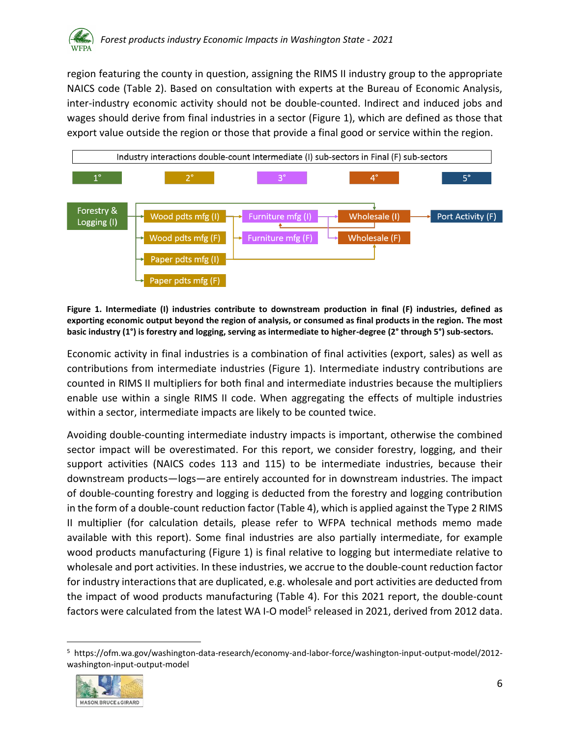

region featuring the county in question, assigning the RIMS II industry group to the appropriate NAICS code [\(Table 2\)](#page-4-2). Based on consultation with experts at the Bureau of Economic Analysis, inter-industry economic activity should not be double-counted. Indirect and induced jobs and wages should derive from final industries in a sector [\(Figure 1\)](#page-6-0), which are defined as those that export value outside the region or those that provide a final good or service within the region.



<span id="page-6-0"></span>**Figure 1. Intermediate (I) industries contribute to downstream production in final (F) industries, defined as exporting economic output beyond the region of analysis, or consumed as final products in the region. The most basic industry (1°) is forestry and logging, serving as intermediate to higher-degree (2° through 5°) sub-sectors.**

Economic activity in final industries is a combination of final activities (export, sales) as well as contributions from intermediate industries [\(Figure 1\)](#page-6-0). Intermediate industry contributions are counted in RIMS II multipliers for both final and intermediate industries because the multipliers enable use within a single RIMS II code. When aggregating the effects of multiple industries within a sector, intermediate impacts are likely to be counted twice.

Avoiding double-counting intermediate industry impacts is important, otherwise the combined sector impact will be overestimated. For this report, we consider forestry, logging, and their support activities (NAICS codes 113 and 115) to be intermediate industries, because their downstream products—logs—are entirely accounted for in downstream industries. The impact of double-counting forestry and logging is deducted from the forestry and logging contribution in the form of a double-count reduction factor [\(Table 4\)](#page-7-1), which is applied against the Type 2 RIMS II multiplier (for calculation details, please refer to WFPA technical methods memo made available with this report). Some final industries are also partially intermediate, for example wood products manufacturing [\(Figure 1\)](#page-6-0) is final relative to logging but intermediate relative to wholesale and port activities. In these industries, we accrue to the double-count reduction factor for industry interactions that are duplicated, e.g. wholesale and port activities are deducted from the impact of wood products manufacturing [\(Table 4\)](#page-7-1). For this 2021 report, the double-count factors were calculated from the latest WA I-O model<sup>5</sup> released in 2021, derived from 2012 data.

<sup>5</sup> https://ofm.wa.gov/washington-data-research/economy-and-labor-force/washington-input-output-model/2012 washington-input-output-model

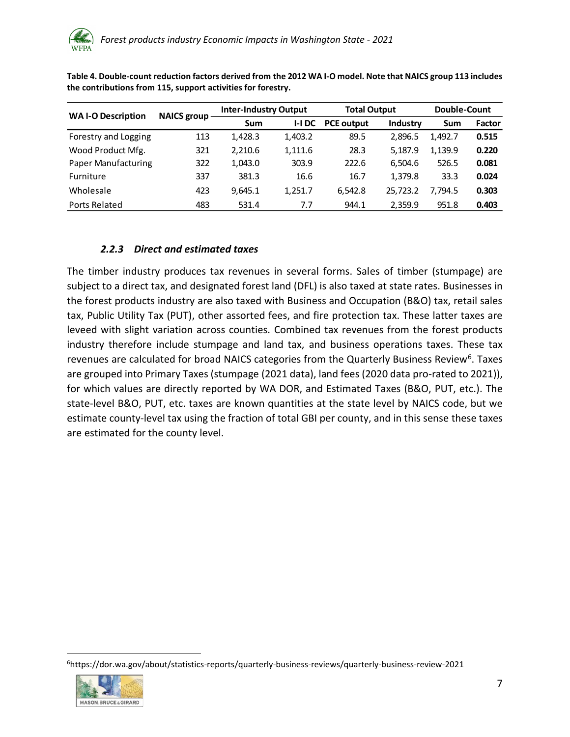| <b>WAI-O Description</b> | NAICS group - | <b>Inter-Industry Output</b> |          | <b>Total Output</b> |          | Double-Count |        |  |
|--------------------------|---------------|------------------------------|----------|---------------------|----------|--------------|--------|--|
|                          |               | <b>Sum</b>                   | $I-I$ DC | <b>PCE output</b>   | Industry | Sum          | Factor |  |
| Forestry and Logging     | 113           | 1.428.3                      | 1,403.2  | 89.5                | 2.896.5  | 1.492.7      | 0.515  |  |
| Wood Product Mfg.        | 321           | 2.210.6                      | 1,111.6  | 28.3                | 5.187.9  | 1.139.9      | 0.220  |  |
| Paper Manufacturing      | 322           | 1,043.0                      | 303.9    | 222.6               | 6.504.6  | 526.5        | 0.081  |  |
| <b>Furniture</b>         | 337           | 381.3                        | 16.6     | 16.7                | 1.379.8  | 33.3         | 0.024  |  |
| Wholesale                | 423           | 9,645.1                      | 1,251.7  | 6.542.8             | 25.723.2 | 7.794.5      | 0.303  |  |
| Ports Related            | 483           | 531.4                        | 7.7      | 944.1               | 2,359.9  | 951.8        | 0.403  |  |

<span id="page-7-1"></span>**Table 4. Double-count reduction factors derived from the 2012 WA I-O model. Note that NAICS group 113 includes the contributions from 115, support activities for forestry.**

# *2.2.3 Direct and estimated taxes*

<span id="page-7-0"></span>The timber industry produces tax revenues in several forms. Sales of timber (stumpage) are subject to a direct tax, and designated forest land (DFL) is also taxed at state rates. Businesses in the forest products industry are also taxed with Business and Occupation (B&O) tax, retail sales tax, Public Utility Tax (PUT), other assorted fees, and fire protection tax. These latter taxes are leveed with slight variation across counties. Combined tax revenues from the forest products industry therefore include stumpage and land tax, and business operations taxes. These tax revenues are calculated for broad NAICS categories from the Quarterly Business Review<sup>6</sup>. Taxes are grouped into Primary Taxes (stumpage (2021 data), land fees (2020 data pro-rated to 2021)), for which values are directly reported by WA DOR, and Estimated Taxes (B&O, PUT, etc.). The state-level B&O, PUT, etc. taxes are known quantities at the state level by NAICS code, but we estimate county-level tax using the fraction of total GBI per county, and in this sense these taxes are estimated for the county level.

<sup>6</sup>https://dor.wa.gov/about/statistics-reports/quarterly-business-reviews/quarterly-business-review-2021

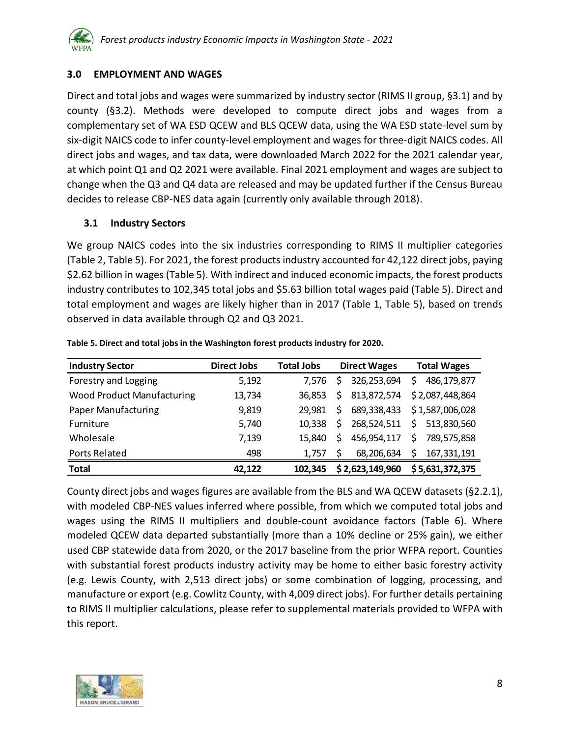# <span id="page-8-0"></span>**3.0 EMPLOYMENT AND WAGES**

Direct and total jobs and wages were summarized by industry sector (RIMS II group, [§3.1\)](#page-8-1) and by county ([§3.2\)](#page-9-0). Methods were developed to compute direct jobs and wages from a complementary set of WA ESD QCEW and BLS QCEW data, using the WA ESD state-level sum by six-digit NAICS code to infer county-level employment and wages for three-digit NAICS codes. All direct jobs and wages, and tax data, were downloaded March 2022 for the 2021 calendar year, at which point Q1 and Q2 2021 were available. Final 2021 employment and wages are subject to change when the Q3 and Q4 data are released and may be updated further if the Census Bureau decides to release CBP-NES data again (currently only available through 2018).

## <span id="page-8-1"></span>**3.1 Industry Sectors**

We group NAICS codes into the six industries corresponding to RIMS II multiplier categories [\(Table 2,](#page-4-2) [Table 5\)](#page-8-2). For 2021, the forest products industry accounted for 42,122 direct jobs, paying \$2.62 billion in wages [\(Table 5\)](#page-8-2). With indirect and induced economic impacts, the forest products industry contributes to 102,345 total jobs and \$5.63 billion total wages paid [\(Table 5\)](#page-8-2). Direct and total employment and wages are likely higher than in 2017 [\(Table 1,](#page-2-1) [Table 5\)](#page-8-2), based on trends observed in data available through Q2 and Q3 2021.

| <b>Industry Sector</b>            | Direct Jobs | <b>Total Jobs</b> |     | <b>Direct Wages</b> | <b>Total Wages</b> |
|-----------------------------------|-------------|-------------------|-----|---------------------|--------------------|
| Forestry and Logging              | 5,192       | 7.576             | S.  | 326,253,694         | 486,179,877<br>Ş   |
| <b>Wood Product Manufacturing</b> | 13,734      | 36.853            | \$. | 813,872,574         | \$2,087,448,864    |
| <b>Paper Manufacturing</b>        | 9,819       | 29.981            | S.  | 689,338,433         | \$1,587,006,028    |
| Furniture                         | 5,740       | 10.338            | S.  | 268,524,511         | 513,830,560<br>Ś.  |
| Wholesale                         | 7,139       | 15.840            | \$. | 456,954,117         | 789,575,858<br>Ś   |
| Ports Related                     | 498         | 1.757             | S   | 68,206,634          | \$<br>167,331,191  |
| <b>Total</b>                      | 42,122      | 102,345           |     | \$2,623,149,960     | \$5,631,372,375    |

<span id="page-8-2"></span>**Table 5. Direct and total jobs in the Washington forest products industry for 2020.**

County direct jobs and wages figures are available from the BLS and WA QCEW datasets ([§2.2.1\)](#page-4-1), with modeled CBP-NES values inferred where possible, from which we computed total jobs and wages using the RIMS II multipliers and double-count avoidance factors [\(Table 6\)](#page-9-1). Where modeled QCEW data departed substantially (more than a 10% decline or 25% gain), we either used CBP statewide data from 2020, or the 2017 baseline from the prior WFPA report. Counties with substantial forest products industry activity may be home to either basic forestry activity (e.g. Lewis County, with 2,513 direct jobs) or some combination of logging, processing, and manufacture or export (e.g. Cowlitz County, with 4,009 direct jobs). For further details pertaining to RIMS II multiplier calculations, please refer to supplemental materials provided to WFPA with this report.

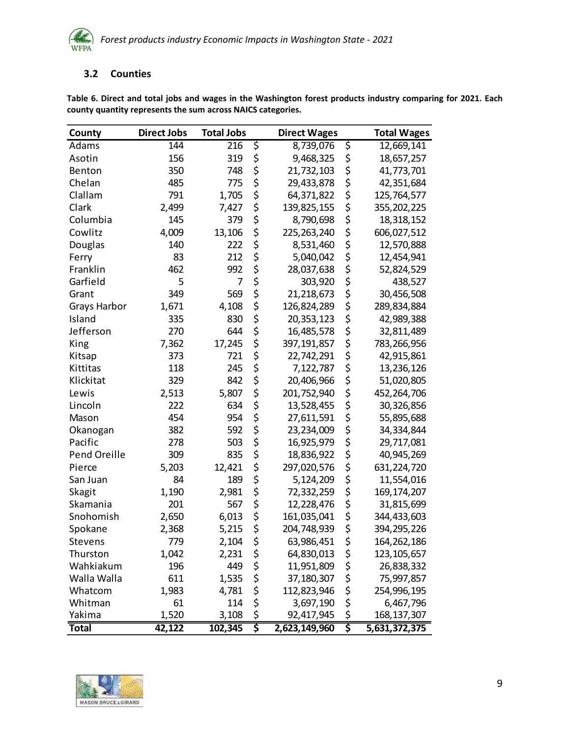

#### <span id="page-9-0"></span>**3.2 Counties**

| County       | <b>Direct Jobs</b> | <b>Total Jobs</b> | <b>Direct Wages</b> | <b>Total Wages</b>  |
|--------------|--------------------|-------------------|---------------------|---------------------|
| Adams        | 144                | 216               | \$<br>8,739,076     | \$<br>12,669,141    |
| Asotin       | 156                | 319               | \$<br>9,468,325     | \$<br>18,657,257    |
| Benton       | 350                | 748               | \$<br>21,732,103    | \$<br>41,773,701    |
| Chelan       | 485                | 775               | \$<br>29,433,878    | \$<br>42,351,684    |
| Clallam      | 791                | 1,705             | \$<br>64,371,822    | \$<br>125,764,577   |
| Clark        | 2,499              | 7,427             | \$<br>139,825,155   | \$<br>355, 202, 225 |
| Columbia     | 145                | 379               | \$<br>8,790,698     | \$<br>18,318,152    |
| Cowlitz      | 4,009              | 13,106            | \$<br>225, 263, 240 | \$<br>606,027,512   |
| Douglas      | 140                | 222               | \$<br>8,531,460     | \$<br>12,570,888    |
| Ferry        | 83                 | 212               | \$<br>5,040,042     | \$<br>12,454,941    |
| Franklin     | 462                | 992               | \$<br>28,037,638    | \$<br>52,824,529    |
| Garfield     | 5                  | 7                 | \$<br>303,920       | \$<br>438,527       |
| Grant        | 349                | 569               | \$<br>21,218,673    | \$<br>30,456,508    |
| Grays Harbor | 1,671              | 4,108             | \$<br>126,824,289   | \$<br>289,834,884   |
| Island       | 335                | 830               | \$<br>20, 353, 123  | \$<br>42,989,388    |
| Jefferson    | 270                | 644               | \$<br>16,485,578    | \$<br>32,811,489    |
| King         | 7,362              | 17,245            | \$<br>397, 191, 857 | \$<br>783,266,956   |
| Kitsap       | 373                | 721               | \$<br>22,742,291    | \$<br>42,915,861    |
| Kittitas     | 118                | 245               | \$<br>7,122,787     | \$<br>13,236,126    |
| Klickitat    | 329                | 842               | \$<br>20,406,966    | \$<br>51,020,805    |
| Lewis        | 2,513              | 5,807             | \$<br>201,752,940   | \$<br>452,264,706   |
| Lincoln      | 222                | 634               | \$<br>13,528,455    | \$<br>30,326,856    |
| Mason        | 454                | 954               | \$<br>27,611,591    | \$<br>55,895,688    |
| Okanogan     | 382                | 592               | \$<br>23,234,009    | \$<br>34,334,844    |
| Pacific      | 278                | 503               | \$<br>16,925,979    | \$<br>29,717,081    |
| Pend Oreille | 309                | 835               | \$<br>18,836,922    | \$<br>40,945,269    |
| Pierce       | 5,203              | 12,421            | \$<br>297,020,576   | \$<br>631,224,720   |
| San Juan     | 84                 | 189               | \$<br>5,124,209     | \$<br>11,554,016    |
| Skagit       | 1,190              | 2,981             | \$<br>72,332,259    | \$<br>169, 174, 207 |
| Skamania     | 201                | 567               | \$<br>12,228,476    | \$<br>31,815,699    |
| Snohomish    | 2,650              | 6,013             | \$<br>161,035,041   | \$<br>344,433,603   |
| Spokane      | 2,368              | 5,215             | \$<br>204,748,939   | \$<br>394,295,226   |
| Stevens      | 779                | 2,104             | \$<br>63,986,451    | \$<br>164,262,186   |
| Thurston     | 1,042              | 2,231             | \$<br>64,830,013    | \$<br>123, 105, 657 |
| Wahkiakum    | 196                | 449               | \$<br>11,951,809    | \$<br>26,838,332    |
| Walla Walla  | 611                | 1,535             | \$<br>37,180,307    | \$<br>75,997,857    |
| Whatcom      | 1,983              | 4,781             | \$<br>112,823,946   | \$<br>254,996,195   |
| Whitman      | 61                 | 114               | \$<br>3,697,190     | \$<br>6,467,796     |
| Yakima       | 1,520              | 3,108             | \$<br>92,417,945    | \$<br>168, 137, 307 |
| <b>Total</b> | 42,122             | 102,345           | \$<br>2,623,149,960 | \$<br>5,631,372,375 |

<span id="page-9-1"></span>**Table 6. Direct and total jobs and wages in the Washington forest products industry comparing for 2021. Each county quantity represents the sum across NAICS categories.**

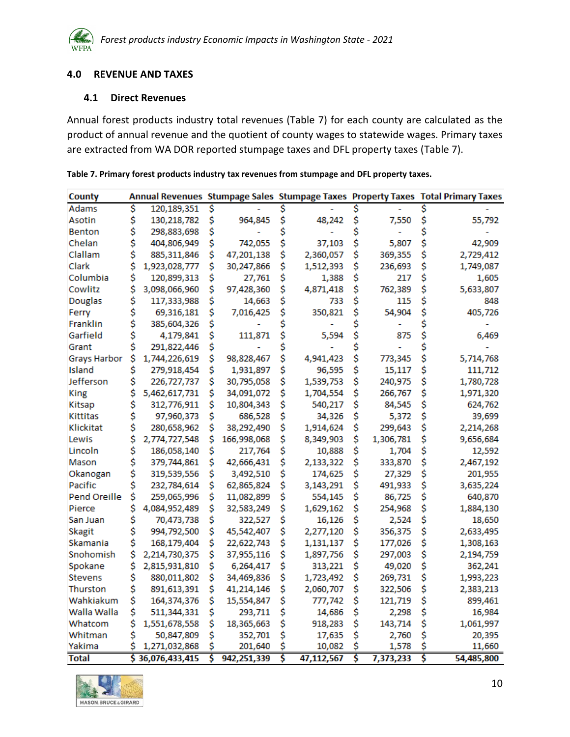#### <span id="page-10-0"></span>**4.0 REVENUE AND TAXES**

#### <span id="page-10-1"></span>**4.1 Direct Revenues**

Annual forest products industry total revenues [\(Table 7\)](#page-10-2) for each county are calculated as the product of annual revenue and the quotient of county wages to statewide wages. Primary taxes are extracted from WA DOR reported stumpage taxes and DFL property taxes [\(Table 7\)](#page-10-2).

| County              |    |                |    |             | Annual Revenues Stumpage Sales Stumpage Taxes Property Taxes Total Primary Taxes |            |    |           |    |            |
|---------------------|----|----------------|----|-------------|----------------------------------------------------------------------------------|------------|----|-----------|----|------------|
| <b>Adams</b>        | \$ | 120,189,351    | \$ |             |                                                                                  |            |    |           |    |            |
| Asotin              | \$ | 130,218,782    | \$ | 964,845     | \$                                                                               | 48,242     | \$ | 7,550     | \$ | 55,792     |
| Benton              | \$ | 298,883,698    | \$ |             |                                                                                  |            |    |           | Ś  |            |
| Chelan              | \$ | 404,806,949    | \$ | 742,055     | \$                                                                               | 37,103     |    | 5,807     | \$ | 42,909     |
| Clallam             | \$ | 885,311,846    | \$ | 47,201,138  | \$                                                                               | 2,360,057  | \$ | 369,355   | \$ | 2,729,412  |
| Clark               | \$ | 1,923,028,777  | \$ | 30,247,866  | \$                                                                               | 1,512,393  | \$ | 236,693   | \$ | 1,749,087  |
| Columbia            | \$ | 120,899,313    | \$ | 27,761      | \$                                                                               | 1,388      | \$ | 217       | \$ | 1,605      |
| Cowlitz             | \$ | 3,098,066,960  | Ś  | 97,428,360  | \$                                                                               | 4,871,418  | \$ | 762,389   | \$ | 5,633,807  |
| Douglas             | \$ | 117,333,988    | \$ | 14,663      | \$                                                                               | 733        | \$ | 115       | \$ | 848        |
| Ferry               | \$ | 69,316,181     | \$ | 7,016,425   | \$                                                                               | 350,821    | \$ | 54,904    | \$ | 405,726    |
| Franklin            | \$ | 385,604,326    | S  |             | Ś                                                                                |            |    |           |    |            |
| Garfield            | \$ | 4,179,841      | \$ | 111,871     | \$                                                                               | 5,594      | \$ | 875       | \$ | 6,469      |
| Grant               | \$ | 291,822,446    | \$ |             |                                                                                  |            | Ś  |           | \$ |            |
| <b>Grays Harbor</b> | \$ | 1,744,226,619  | Ś  | 98,828,467  | \$                                                                               | 4,941,423  | \$ | 773,345   | \$ | 5,714,768  |
| Island              | \$ | 279,918,454    | \$ | 1,931,897   | \$                                                                               | 96,595     | \$ | 15,117    | \$ | 111,712    |
| Jefferson           | \$ | 226,727,737    | \$ | 30,795,058  | \$                                                                               | 1,539,753  | \$ | 240,975   | \$ | 1,780,728  |
| King                | \$ | 5,462,617,731  | \$ | 34,091,072  | \$                                                                               | 1,704,554  | \$ | 266,767   | \$ | 1,971,320  |
| Kitsap              | \$ | 312,776,911    | \$ | 10,804,343  | \$                                                                               | 540,217    | \$ | 84,545    | \$ | 624,762    |
| Kittitas            | \$ | 97,960,373     | Ś  | 686,528     | \$                                                                               | 34,326     | \$ | 5,372     | \$ | 39,699     |
| Klickitat           | \$ | 280,658,962    | \$ | 38,292,490  | \$                                                                               | 1,914,624  | \$ | 299,643   | \$ | 2,214,268  |
| Lewis               | \$ | 2,774,727,548  | \$ | 166,998,068 | \$                                                                               | 8,349,903  | \$ | 1,306,781 | \$ | 9,656,684  |
| Lincoln             | \$ | 186,058,140    | \$ | 217,764     | \$                                                                               | 10,888     | \$ | 1,704     | \$ | 12,592     |
| Mason               | \$ | 379,744,861    | \$ | 42,666,431  | \$                                                                               | 2,133,322  | \$ | 333,870   | \$ | 2,467,192  |
| Okanogan            | \$ | 319,539,556    | \$ | 3,492,510   | \$                                                                               | 174,625    | \$ | 27,329    | \$ | 201,955    |
| Pacific             | \$ | 232,784,614    | \$ | 62,865,824  | \$                                                                               | 3,143,291  | \$ | 491,933   | \$ | 3,635,224  |
| Pend Oreille        | \$ | 259,065,996    | \$ | 11,082,899  | \$                                                                               | 554,145    | \$ | 86,725    | \$ | 640,870    |
| Pierce              | \$ | 4,084,952,489  | \$ | 32,583,249  | \$                                                                               | 1,629,162  | \$ | 254,968   | \$ | 1,884,130  |
| San Juan            | \$ | 70,473,738     | \$ | 322,527     | \$                                                                               | 16,126     | \$ | 2,524     | \$ | 18,650     |
| Skagit              | \$ | 994,792,500    | \$ | 45,542,407  | \$                                                                               | 2,277,120  | \$ | 356,375   | \$ | 2,633,495  |
| Skamania            | \$ | 168,179,404    | \$ | 22,622,743  | \$                                                                               | 1,131,137  | \$ | 177,026   | \$ | 1,308,163  |
| Snohomish           | \$ | 2,214,730,375  | \$ | 37,955,116  | \$                                                                               | 1,897,756  | \$ | 297,003   | \$ | 2,194,759  |
| Spokane             | \$ | 2,815,931,810  | \$ | 6,264,417   | \$                                                                               | 313,221    | \$ | 49,020    | \$ | 362,241    |
| Stevens             | \$ | 880,011,802    | \$ | 34,469,836  | \$                                                                               | 1,723,492  | \$ | 269,731   | \$ | 1,993,223  |
| Thurston            | \$ | 891,613,391    | \$ | 41,214,146  | \$                                                                               | 2,060,707  | \$ | 322,506   | \$ | 2,383,213  |
| Wahkiakum           | \$ | 164,374,376    | \$ | 15,554,847  | \$                                                                               | 777,742    | \$ | 121,719   | \$ | 899,461    |
| Walla Walla         | \$ | 511,344,331    | \$ | 293,711     | \$                                                                               | 14,686     | \$ | 2,298     | \$ | 16,984     |
| Whatcom             | \$ | 1,551,678,558  | \$ | 18,365,663  | \$                                                                               | 918,283    | \$ | 143,714   | \$ | 1,061,997  |
| Whitman             | \$ | 50,847,809     | S  | 352,701     | \$                                                                               | 17,635     | \$ | 2,760     | Ś  | 20,395     |
| Yakima              |    | 1,271,032,868  | S  | 201,640     | \$                                                                               | 10,082     | \$ | 1,578     | Ś  | 11,660     |
| Total               | Ś  | 36,076,433,415 | Š  | 942,251,339 | Š                                                                                | 47,112,567 | Š  | 7,373,233 | Š  | 54,485,800 |

<span id="page-10-2"></span>**Table 7. Primary forest products industry tax revenues from stumpage and DFL property taxes.**

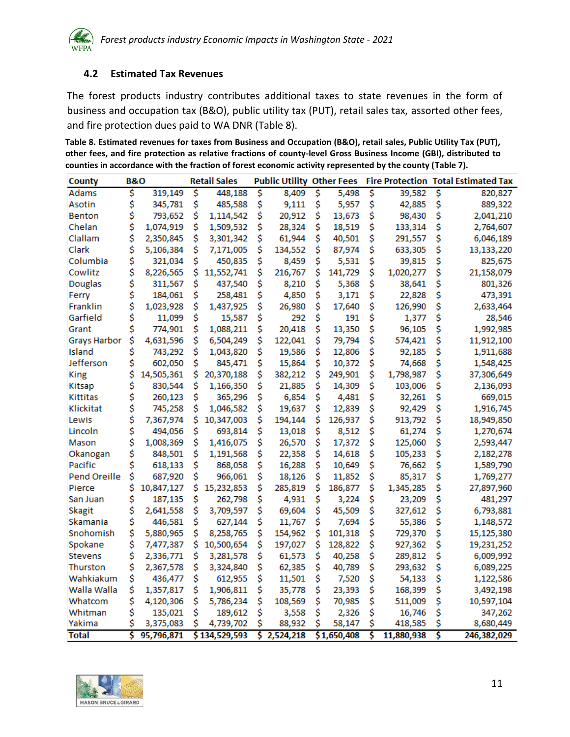#### <span id="page-11-0"></span>**4.2 Estimated Tax Revenues**

The forest products industry contributes additional taxes to state revenues in the form of business and occupation tax (B&O), public utility tax (PUT), retail sales tax, assorted other fees, and fire protection dues paid to WA DNR [\(Table 8\)](#page-11-1).

<span id="page-11-1"></span>**Table 8. Estimated revenues for taxes from Business and Occupation (B&O), retail sales, Public Utility Tax (PUT), other fees, and fire protection as relative fractions of county-level Gross Business Income (GBI), distributed to counties in accordance with the fraction of forest economic activity represented by the county [\(Table 7\)](#page-10-2).**

| County              | <b>B&amp;O</b> |            |    | <b>Retail Sales</b> |    | <b>Public Utility Other Fees</b> |    |             |    |            | <b>Fire Protection Total Estimated Tax</b> |             |  |
|---------------------|----------------|------------|----|---------------------|----|----------------------------------|----|-------------|----|------------|--------------------------------------------|-------------|--|
| <b>Adams</b>        | \$             | 319,149    | \$ | 448,188             | Ś  | 8,409                            | Ś  | 5,498       | \$ | 39,582     | \$                                         | 820,827     |  |
| Asotin              | \$             | 345,781    | \$ | 485,588             | \$ | 9,111                            | \$ | 5,957       | \$ | 42,885     | \$                                         | 889,322     |  |
| Benton              | \$             | 793,652    | \$ | 1,114,542           | \$ | 20,912                           | \$ | 13,673      | \$ | 98,430     | \$                                         | 2,041,210   |  |
| Chelan              | \$             | 1,074,919  | \$ | 1,509,532           | \$ | 28,324                           | \$ | 18,519      | \$ | 133,314    | \$                                         | 2,764,607   |  |
| Clallam             | \$             | 2,350,845  | \$ | 3,301,342           | \$ | 61,944                           | Ś  | 40,501      | Ś  | 291,557    | \$                                         | 6,046,189   |  |
| Clark               | \$             | 5,106,384  | \$ | 7,171,005           | \$ | 134,552                          | \$ | 87,974      | \$ | 633,305    | \$                                         | 13,133,220  |  |
| Columbia            | \$             | 321,034    | \$ | 450,835             | \$ | 8,459                            | \$ | 5,531       | \$ | 39,815     | \$                                         | 825,675     |  |
| Cowlitz             | \$             | 8,226,565  | Ś  | 11,552,741          | \$ | 216,767                          | Ś  | 141,729     | \$ | 1,020,277  | Ś                                          | 21,158,079  |  |
| <b>Douglas</b>      | \$             | 311,567    | \$ | 437,540             | \$ | 8,210                            | \$ | 5,368       | \$ | 38,641     | \$                                         | 801,326     |  |
| Ferry               | \$             | 184,061    | \$ | 258,481             | \$ | 4,850                            | \$ | 3,171       | \$ | 22,828     | \$                                         | 473,391     |  |
| Franklin            | \$             | 1,023,928  | \$ | 1,437,925           | \$ | 26,980                           | \$ | 17,640      | \$ | 126,990    | \$                                         | 2,633,464   |  |
| Garfield            | \$             | 11,099     | \$ | 15,587              | \$ | 292                              | \$ | 191         | \$ | 1,377      | \$                                         | 28,546      |  |
| Grant               | \$             | 774,901    | \$ | 1,088,211           | \$ | 20,418                           | Ś  | 13,350      | \$ | 96,105     | \$                                         | 1,992,985   |  |
| <b>Grays Harbor</b> | \$             | 4,631,596  | \$ | 6,504,249           | \$ | 122,041                          | \$ | 79,794      | \$ | 574,421    | \$                                         | 11,912,100  |  |
| Island              | \$             | 743,292    | \$ | 1,043,820           | \$ | 19,586                           | \$ | 12,806      | \$ | 92,185     | \$                                         | 1,911,688   |  |
| Jefferson           | \$             | 602,050    | \$ | 845,471             | \$ | 15,864                           | Ś  | 10,372      | \$ | 74,668     | \$                                         | 1,548,425   |  |
| King                | \$             | 14,505,361 | \$ | 20,370,188          | \$ | 382,212                          | \$ | 249,901     | \$ | 1,798,987  | \$                                         | 37,306,649  |  |
| Kitsap              | \$             | 830,544    | \$ | 1,166,350           | \$ | 21,885                           | \$ | 14,309      | \$ | 103,006    | \$                                         | 2,136,093   |  |
| Kittitas            | \$             | 260,123    | \$ | 365,296             | \$ | 6,854                            | \$ | 4,481       | \$ | 32,261     | \$                                         | 669,015     |  |
| Klickitat           | \$             | 745,258    | \$ | 1,046,582           | \$ | 19,637                           | \$ | 12,839      | \$ | 92,429     | \$                                         | 1,916,745   |  |
| Lewis               | \$             | 7,367,974  | \$ | 10,347,003          | Ś  | 194,144                          | Ś  | 126,937     | Ś  | 913,792    | Ś                                          | 18,949,850  |  |
| Lincoln             | \$             | 494,056    | \$ | 693,814             | \$ | 13,018                           | \$ | 8,512       | \$ | 61,274     | \$                                         | 1,270,674   |  |
| Mason               | \$             | 1,008,369  | \$ | 1,416,075           | \$ | 26,570                           | Ś  | 17,372      | \$ | 125,060    | Ś                                          | 2,593,447   |  |
| Okanogan            | \$             | 848,501    | \$ | 1,191,568           | \$ | 22,358                           | Ś  | 14,618      | \$ | 105,233    | Ś                                          | 2,182,278   |  |
| Pacific             | \$             | 618,133    | \$ | 868,058             | \$ | 16,288                           | Ś  | 10,649      | \$ | 76,662     | \$                                         | 1,589,790   |  |
| Pend Oreille        | \$             | 687,920    | \$ | 966,061             | \$ | 18,126                           | \$ | 11,852      | \$ | 85,317     | \$                                         | 1,769,277   |  |
| Pierce              | \$             | 10,847,127 | \$ | 15,232,853          | \$ | 285,819                          | \$ | 186,877     | \$ | 1,345,285  | \$                                         | 27,897,960  |  |
| San Juan            | \$             | 187,135    | \$ | 262,798             | \$ | 4,931                            | \$ | 3,224       | \$ | 23,209     | \$                                         | 481,297     |  |
| <b>Skagit</b>       | \$             | 2,641,558  | \$ | 3,709,597           | \$ | 69,604                           | \$ | 45,509      | \$ | 327,612    | Ś                                          | 6,793,881   |  |
| Skamania            | \$             | 446,581    | \$ | 627,144             | \$ | 11,767                           | \$ | 7,694       | \$ | 55,386     | \$                                         | 1,148,572   |  |
| Snohomish           | \$             | 5,880,965  | \$ | 8,258,765           | \$ | 154,962                          | \$ | 101,318     | \$ | 729,370    | \$                                         | 15,125,380  |  |
| Spokane             | \$             | 7,477,387  | \$ | 10,500,654          | Ś  | 197,027                          | Ś  | 128,822     | \$ | 927,362    | Ś                                          | 19,231,252  |  |
| Stevens             | \$             | 2,336,771  | \$ | 3,281,578           | \$ | 61,573                           | \$ | 40,258      | \$ | 289,812    | \$                                         | 6,009,992   |  |
| Thurston            | \$             | 2,367,578  | \$ | 3,324,840           | \$ | 62,385                           | Ś  | 40,789      | \$ | 293,632    | Ś                                          | 6,089,225   |  |
| Wahkiakum           | \$             | 436,477    | \$ | 612,955             | \$ | 11,501                           | \$ | 7,520       | \$ | 54,133     | \$                                         | 1,122,586   |  |
| Walla Walla         | \$             | 1,357,817  | \$ | 1,906,811           | \$ | 35,778                           | \$ | 23,393      | \$ | 168,399    | \$                                         | 3,492,198   |  |
| Whatcom             | \$             | 4,120,306  | \$ | 5,786,234           | \$ | 108,569                          | \$ | 70,985      | \$ | 511,009    | \$                                         | 10,597,104  |  |
| Whitman             | \$             | 135,021    | \$ | 189,612             | Ś  | 3,558                            | \$ | 2,326       | \$ | 16,746     | \$                                         | 347,262     |  |
| Yakima              | \$             | 3,375,083  | \$ | 4,739,702           | Ś  | 88,932                           | Ś  | 58,147      | Ś  | 418,585    |                                            | 8,680,449   |  |
| <b>Total</b>        | Ś              | 95,796,871 |    | \$134,529,593       | Ś  | 2,524,218                        |    | \$1,650,408 | Ś  | 11,880,938 | Ś                                          | 246,382,029 |  |

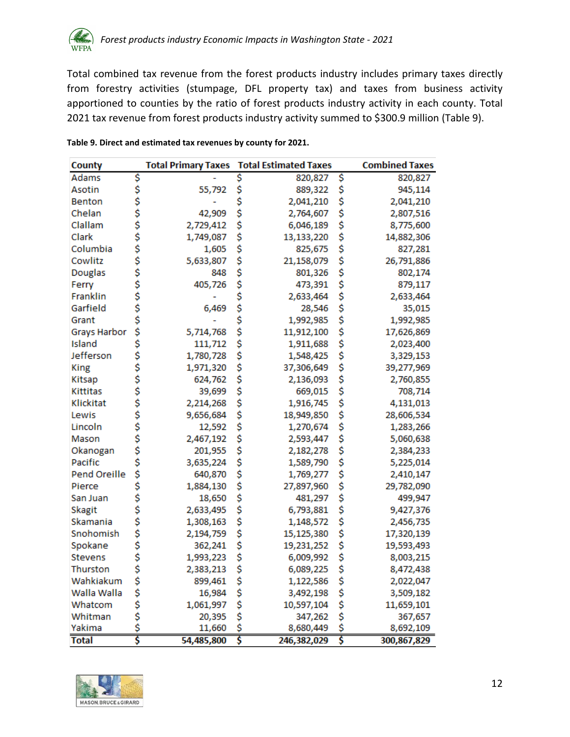Total combined tax revenue from the forest products industry includes primary taxes directly from forestry activities (stumpage, DFL property tax) and taxes from business activity apportioned to counties by the ratio of forest products industry activity in each county. Total 2021 tax revenue from forest products industry activity summed to \$300.9 million [\(Table 9\)](#page-12-0).

| <b>County</b>       |          | <b>Total Primary Taxes</b> |    | <b>Total Estimated Taxes</b> |    | <b>Combined Taxes</b> |
|---------------------|----------|----------------------------|----|------------------------------|----|-----------------------|
| <b>Adams</b>        | \$       |                            | \$ | 820,827                      | \$ | 820,827               |
| Asotin              | \$       | 55,792                     | \$ | 889,322                      | \$ | 945,114               |
| <b>Benton</b>       | ぐうろうこうこう |                            | \$ | 2,041,210                    | \$ | 2,041,210             |
| Chelan              |          | 42,909                     | \$ | 2,764,607                    | \$ | 2,807,516             |
| Clallam             |          | 2,729,412                  | \$ | 6,046,189                    | \$ | 8,775,600             |
| Clark               |          | 1,749,087                  | \$ | 13,133,220                   | \$ | 14,882,306            |
| Columbia            |          | 1,605                      | \$ | 825,675                      | \$ | 827,281               |
| Cowlitz             |          | 5,633,807                  | \$ | 21,158,079                   | \$ | 26,791,886            |
| Douglas             |          | 848                        | \$ | 801,326                      | \$ | 802,174               |
| Ferry               |          | 405,726                    | \$ | 473,391                      | \$ | 879,117               |
| Franklin            |          |                            | \$ | 2,633,464                    | \$ | 2,633,464             |
| Garfield            |          | 6,469                      | \$ | 28,546                       | \$ | 35,015                |
| Grant               |          |                            | \$ | 1,992,985                    | \$ | 1,992,985             |
| <b>Grays Harbor</b> | ś        | 5,714,768                  | \$ | 11,912,100                   | \$ | 17,626,869            |
| Island              | \$       | 111,712                    | \$ | 1,911,688                    | \$ | 2,023,400             |
| Jefferson           |          | 1,780,728                  | \$ | 1,548,425                    | \$ | 3,329,153             |
| King                | ぐぐぐぐぐ    | 1,971,320                  | \$ | 37,306,649                   | \$ | 39,277,969            |
| Kitsap              |          | 624,762                    | \$ | 2,136,093                    | \$ | 2,760,855             |
| Kittitas            |          | 39,699                     | \$ | 669,015                      | \$ | 708,714               |
| Klickitat           |          | 2,214,268                  | \$ | 1,916,745                    | \$ | 4,131,013             |
| Lewis               |          | 9,656,684                  | \$ | 18,949,850                   | \$ | 28,606,534            |
| Lincoln             |          | 12,592                     | \$ | 1,270,674                    | \$ | 1,283,266             |
| Mason               |          | 2,467,192                  | \$ | 2,593,447                    | \$ | 5,060,638             |
| Okanogan            |          | 201,955                    | \$ | 2,182,278                    | \$ | 2,384,233             |
| Pacific             |          | 3,635,224                  | \$ | 1,589,790                    | \$ | 5,225,014             |
| Pend Oreille        | \$       | 640,870                    | \$ | 1,769,277                    | \$ | 2,410,147             |
| Pierce              | \$       | 1,884,130                  | \$ | 27,897,960                   | \$ | 29,782,090            |
| San Juan            |          | 18,650                     | \$ | 481,297                      | \$ | 499,947               |
| <b>Skagit</b>       |          | 2,633,495                  | \$ | 6,793,881                    | \$ | 9,427,376             |
| Skamania            |          | 1,308,163                  | \$ | 1,148,572                    | \$ | 2,456,735             |
| Snohomish           | ぐぐぐぐ     | 2,194,759                  | \$ | 15,125,380                   | \$ | 17,320,139            |
| Spokane             |          | 362,241                    | \$ | 19,231,252                   | \$ | 19,593,493            |
| <b>Stevens</b>      | \$       | 1,993,223                  | \$ | 6,009,992                    | \$ | 8,003,215             |
| Thurston            | \$\$\$   | 2,383,213                  | \$ | 6,089,225                    | \$ | 8,472,438             |
| Wahkiakum           |          | 899,461                    | \$ | 1,122,586                    | \$ | 2,022,047             |
| Walla Walla         |          | 16,984                     | \$ | 3,492,198                    | \$ | 3,509,182             |
| Whatcom             | Ś        | 1,061,997                  | \$ | 10,597,104                   | \$ | 11,659,101            |
| Whitman             | \$<br>\$ | 20,395                     | \$ | 347,262                      | \$ | 367,657               |
| Yakima              |          | 11,660                     | \$ | 8,680,449                    | ŝ  | 8,692,109             |
| <b>Total</b>        | \$       | 54,485,800                 | Š  | 246,382,029                  | \$ | 300,867,829           |

#### <span id="page-12-0"></span>**Table 9. Direct and estimated tax revenues by county for 2021.**

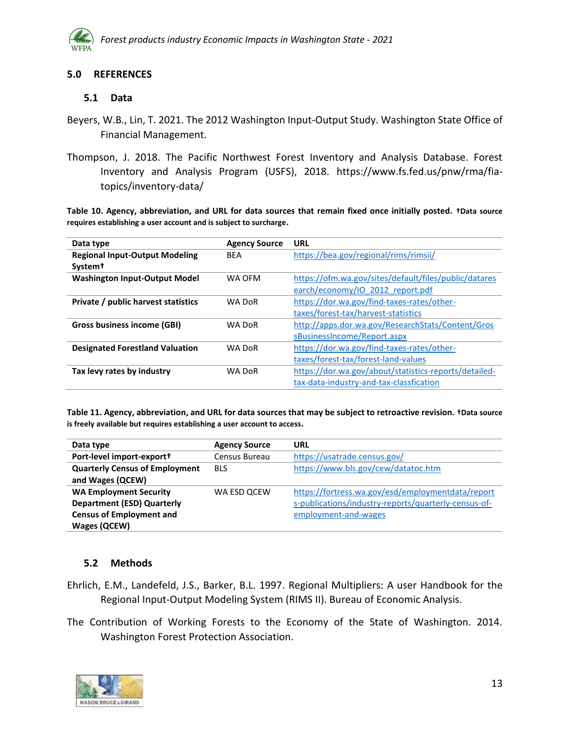

#### <span id="page-13-0"></span>**5.0 REFERENCES**

#### <span id="page-13-1"></span>**5.1 Data**

- Beyers, W.B., Lin, T. 2021. The 2012 Washington Input-Output Study. Washington State Office of Financial Management.
- Thompson, J. 2018. The Pacific Northwest Forest Inventory and Analysis Database. Forest Inventory and Analysis Program (USFS), 2018. https://www.fs.fed.us/pnw/rma/fiatopics/inventory-data/

**Table 10. Agency, abbreviation, and URL for data sources that remain fixed once initially posted. †Data source requires establishing a user account and is subject to surcharge.**

| Data type                              | <b>Agency Source</b> | <b>URL</b>                                            |
|----------------------------------------|----------------------|-------------------------------------------------------|
| <b>Regional Input-Output Modeling</b>  | <b>BFA</b>           | https://bea.gov/regional/rims/rimsii/                 |
| System <sup>†</sup>                    |                      |                                                       |
| <b>Washington Input-Output Model</b>   | WA OFM               | https://ofm.wa.gov/sites/default/files/public/datares |
|                                        |                      | earch/economy/IO 2012 report.pdf                      |
| Private / public harvest statistics    | <b>WA DoR</b>        | https://dor.wa.gov/find-taxes-rates/other-            |
|                                        |                      | taxes/forest-tax/harvest-statistics                   |
| Gross business income (GBI)            | <b>WA DoR</b>        | http://apps.dor.wa.gov/ResearchStats/Content/Gros     |
|                                        |                      | sBusinessIncome/Report.aspx                           |
| <b>Designated Forestland Valuation</b> | <b>WA DoR</b>        | https://dor.wa.gov/find-taxes-rates/other-            |
|                                        |                      | taxes/forest-tax/forest-land-values                   |
| Tax levy rates by industry             | <b>WA DoR</b>        | https://dor.wa.gov/about/statistics-reports/detailed- |
|                                        |                      | tax-data-industry-and-tax-classfication               |

**Table 11. Agency, abbreviation, and URL for data sources that may be subject to retroactive revision. †Data source is freely available but requires establishing a user account to access.**

| Data type                                                 | <b>Agency Source</b> | URL                                                  |
|-----------------------------------------------------------|----------------------|------------------------------------------------------|
| Port-level import-export+                                 | Census Bureau        | https://usatrade.census.gov/                         |
| <b>Quarterly Census of Employment</b><br>and Wages (QCEW) | <b>BLS</b>           | https://www.bls.gov/cew/datatoc.htm                  |
| <b>WA Employment Security</b>                             | WA ESD OCEW          | https://fortress.wa.gov/esd/employmentdata/report    |
| <b>Department (ESD) Quarterly</b>                         |                      | s-publications/industry-reports/quarterly-census-of- |
| <b>Census of Employment and</b>                           |                      | employment-and-wages                                 |
| <b>Wages (QCEW)</b>                                       |                      |                                                      |

## <span id="page-13-2"></span>**5.2 Methods**

- Ehrlich, E.M., Landefeld, J.S., Barker, B.L. 1997. Regional Multipliers: A user Handbook for the Regional Input-Output Modeling System (RIMS II). Bureau of Economic Analysis.
- The Contribution of Working Forests to the Economy of the State of Washington. 2014. Washington Forest Protection Association.

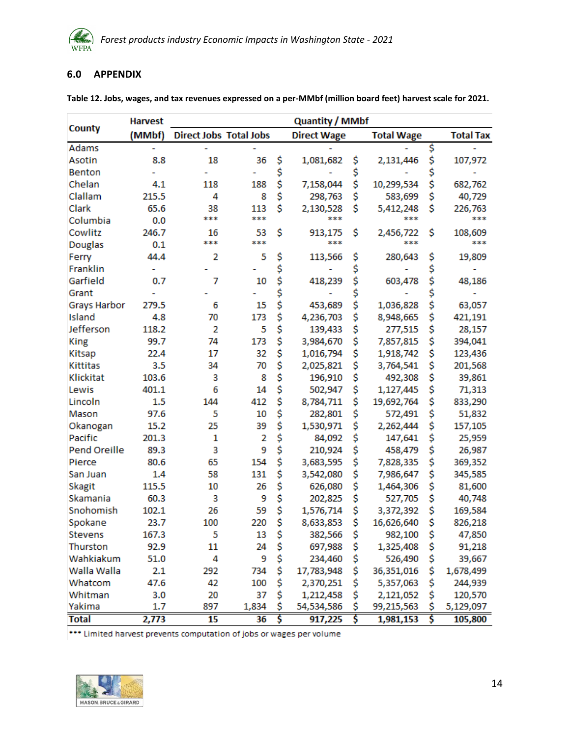

#### <span id="page-14-0"></span>**6.0 APPENDIX**

|                     | <b>Harvest</b> |                               |       | <b>Quantity / MMbf</b> |            |                   |            |                  |           |
|---------------------|----------------|-------------------------------|-------|------------------------|------------|-------------------|------------|------------------|-----------|
| County              | (MMbf)         | <b>Direct Jobs Total Jobs</b> |       | <b>Direct Wage</b>     |            | <b>Total Wage</b> |            | <b>Total Tax</b> |           |
| Adams               |                |                               |       |                        |            |                   |            | \$               |           |
| Asotin              | 8.8            | 18                            | 36    | \$                     | 1,081,682  | \$                | 2,131,446  | \$               | 107,972   |
| <b>Benton</b>       |                |                               |       | \$                     |            | \$                |            | \$               |           |
| Chelan              | 4.1            | 118                           | 188   | \$                     | 7,158,044  | \$                | 10,299,534 | \$               | 682,762   |
| Clallam             | 215.5          | 4                             | 8     | \$                     | 298,763    | \$                | 583,699    | \$               | 40,729    |
| Clark               | 65.6           | 38                            | 113   | \$                     | 2,130,528  | Ś                 | 5,412,248  | \$               | 226,763   |
| Columbia            | 0.0            | ***                           | ***   |                        | ***        |                   | ***        |                  | ***       |
| Cowlitz             | 246.7          | 16                            | 53    | \$                     | 913,175    | \$                | 2,456,722  | \$               | 108,609   |
| <b>Douglas</b>      | 0.1            | ***                           | ***   |                        | ***        |                   | ***        |                  | ***       |
| Ferry               | 44.4           | 2                             | 5     | \$                     | 113,566    | \$                | 280,643    | \$               | 19,809    |
| Franklin            |                |                               |       | \$                     |            | \$                |            | \$               |           |
| Garfield            | 0.7            | 7                             | 10    | \$                     | 418,239    | \$                | 603,478    | \$               | 48,186    |
| Grant               |                |                               |       | \$                     |            | \$                |            | \$               |           |
| <b>Grays Harbor</b> | 279.5          | 6                             | 15    | \$                     | 453,689    | \$                | 1,036,828  | \$               | 63,057    |
| Island              | 4.8            | 70                            | 173   | \$                     | 4,236,703  | \$                | 8,948,665  | \$               | 421,191   |
| Jefferson           | 118.2          | 2                             | 5     | \$                     | 139,433    | \$                | 277,515    | \$               | 28,157    |
| <b>King</b>         | 99.7           | 74                            | 173   | \$                     | 3,984,670  | \$                | 7,857,815  | \$               | 394,041   |
| Kitsap              | 22.4           | 17                            | 32    | \$                     | 1,016,794  | \$                | 1,918,742  | \$               | 123,436   |
| <b>Kittitas</b>     | 3.5            | 34                            | 70    | \$                     | 2,025,821  | \$                | 3,764,541  | \$               | 201,568   |
| Klickitat           | 103.6          | 3                             | 8     | \$                     | 196,910    | \$                | 492,308    | \$               | 39,861    |
| Lewis               | 401.1          | 6                             | 14    | \$                     | 502,947    | \$                | 1,127,445  | \$               | 71,313    |
| Lincoln             | 1.5            | 144                           | 412   | \$                     | 8,784,711  | \$                | 19,692,764 | \$               | 833,290   |
| Mason               | 97.6           | 5                             | 10    | \$                     | 282,801    | \$                | 572,491    | \$               | 51,832    |
| Okanogan            | 15.2           | 25                            | 39    | \$                     | 1,530,971  | \$                | 2,262,444  | \$               | 157,105   |
| Pacific             | 201.3          | 1                             | 2     | \$                     | 84,092     | \$                | 147,641    | \$               | 25,959    |
| Pend Oreille        | 89.3           | 3                             | 9     | \$                     | 210,924    | \$                | 458,479    | \$               | 26,987    |
| Pierce              | 80.6           | 65                            | 154   | \$                     | 3,683,595  | \$                | 7,828,335  | \$               | 369,352   |
| San Juan            | 1.4            | 58                            | 131   | \$                     | 3,542,080  | \$                | 7,986,647  | \$               | 345,585   |
| Skagit              | 115.5          | 10                            | 26    | \$                     | 626,080    | \$                | 1,464,306  | \$               | 81,600    |
| Skamania            | 60.3           | 3                             | 9     | \$                     | 202,825    | \$                | 527,705    | \$               | 40,748    |
| Snohomish           | 102.1          | 26                            | 59    | \$                     | 1,576,714  | \$                | 3,372,392  | \$               | 169,584   |
| Spokane             | 23.7           | 100                           | 220   | \$                     | 8,633,853  | \$                | 16,626,640 | \$               | 826,218   |
| <b>Stevens</b>      | 167.3          | 5                             | 13    | Ş                      | 382,566    | Ş                 | 982,100    | Ş                | 47,850    |
| Thurston            | 92.9           | 11                            | 24    | \$                     | 697,988    | \$                | 1,325,408  | \$               | 91,218    |
| Wahkiakum           | 51.0           | 4                             | 9     | \$                     | 234,460    | \$                | 526,490    | \$               | 39,667    |
| Walla Walla         | 2.1            | 292                           | 734   | \$                     | 17,783,948 | \$                | 36,351,016 | \$               | 1,678,499 |
| Whatcom             | 47.6           | 42                            | 100   | \$                     | 2,370,251  | \$                | 5,357,063  | \$               | 244,939   |
| Whitman             | 3.0            | 20                            | 37    | \$                     | 1,212,458  | \$                | 2,121,052  | \$               | 120,570   |
| Yakima              | 1.7            | 897                           | 1,834 | \$                     | 54,534,586 | \$                | 99,215,563 | \$               | 5,129,097 |
| <b>Total</b>        | 2,773          | $\overline{15}$               | 36    | Š                      | 917,225    | Ŝ                 | 1,981,153  | Ś                | 105,800   |

**Table 12. Jobs, wages, and tax revenues expressed on a per-MMbf (million board feet) harvest scale for 2021.**

\*\*\* Limited harvest prevents computation of jobs or wages per volume